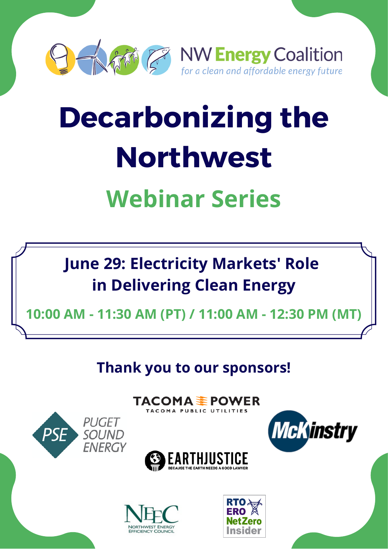

# **Decarbonizing the Northwest**

# **Webinar Series**

**June 29: Electricity Markets' Role in Delivering Clean Energy**

**10:00 AM - 11:30 AM (PT) / 11:00 AM - 12:30 PM (MT)**

**Thank you to our sponsors!**

TACOMA <del>≨</del> POWER

TACOMA PUBLIC UTILITIES







*PUGET* 

**SOUND FNFRGY** 

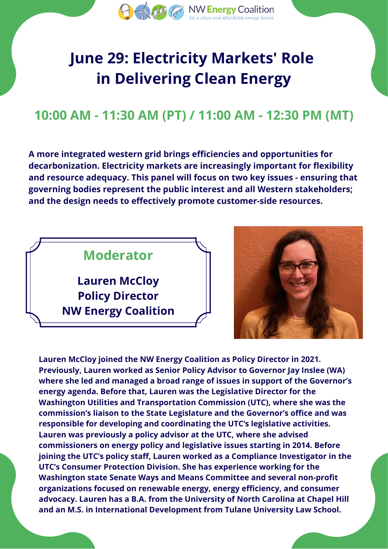

## **June 29: Electricity Markets' Role in Delivering Clean Energy**

#### **10:00 AM - 11:30 AM (PT) / 11:00 AM - 12:30 PM (MT)**

**A more integrated western grid brings efficiencies and opportunities for decarbonization. Electricity markets are increasingly important for flexibility and resource adequacy. This panel will focus on two key issues - ensuring that governing bodies represent the public interest and all Western stakeholders; and the design needs to effectively promote customer-side resources.**





**Lauren McCloy joined the NW Energy Coalition as Policy Director in 2021. Previously, Lauren worked as Senior Policy Advisor to Governor Jay Inslee (WA) where she led and managed a broad range of issues in support of the Governor's energy agenda. Before that, Lauren was the Legislative Director for the Washington Utilities and Transportation Commission (UTC), where she was the commission's liaison to the State Legislature and the Governor's office and was responsible for developing and coordinating the UTC's legislative activities. Lauren was previously a policy advisor at the UTC, where she advised commissioners on energy policy and legislative issues starting in 2014. Before joining the UTC's policy staff, Lauren worked as a Compliance Investigator in the UTC's Consumer Protection Division. She has experience working for the Washington state Senate Ways and Means Committee and several non-profit organizations focused on renewable energy, energy efficiency, and consumer advocacy. Lauren has a B.A. from the University of North Carolina at Chapel Hill and an M.S. in International Development from Tulane University Law School.**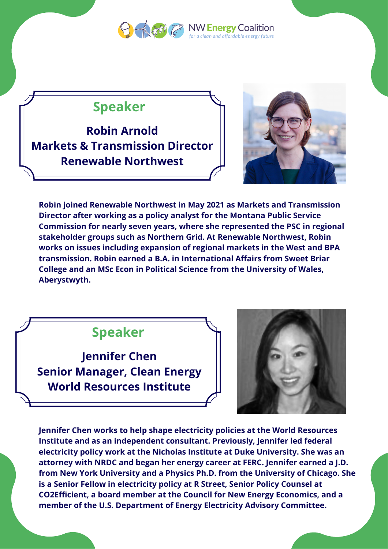

clean and affordable energy future

#### **Speaker**

**Robin Arnold Markets & Transmission Director Renewable Northwest**



**Robin joined Renewable Northwest in May 2021 as Markets and Transmission Director after working as a policy analyst for the Montana Public Service Commission for nearly seven years, where she represented the PSC in regional stakeholder groups such as Northern Grid. At Renewable Northwest, Robin works on issues including expansion of regional markets in the West and BPA transmission. Robin earned a B.A. in International Affairs from Sweet Briar College and an MSc Econ in Political Science from the University of Wales, Aberystwyth.**

#### **Speaker**

**Jennifer Chen Senior Manager, Clean Energy World Resources Institute**



**Jennifer Chen works to help shape electricity policies at the World Resources Institute and as an independent consultant. Previously, Jennifer led federal electricity policy work at the Nicholas Institute at Duke University. She was an attorney with NRDC and began her energy career at FERC. Jennifer earned a J.D. from New York University and a Physics Ph.D. from the University of Chicago. She is a Senior Fellow in electricity policy at R Street, Senior Policy Counsel at CO2Efficient, a board member at the Council for New Energy Economics, and a member of the U.S. Department of Energy Electricity Advisory Committee.**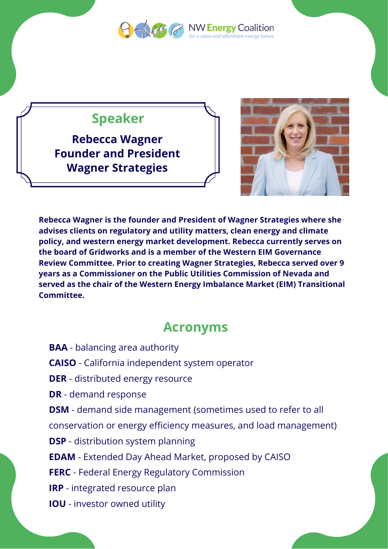

**Q African NW Energy Coalition** lean and affordable energy future

#### **Speaker**

**Rebecca Wagner Founder and President Wagner Strategies**



**Rebecca Wagner is the founder and President of Wagner Strategies where she advises clients on regulatory and utility matters, clean energy and climate policy, and western energy market development. Rebecca currently serves on the board of Gridworks and is a member of the Western EIM Governance Review Committee. Prior to creating Wagner Strategies, Rebecca served over 9 years as a Commissioner on the Public Utilities Commission of Nevada and served as the chair of the Western Energy Imbalance Market (EIM) Transitional Committee.**

#### **Acronyms**

**BAA** - balancing area authority **CAISO** - California independent system operator **DER** - distributed energy resource **DR** - demand response **DSM** - demand side management (sometimes used to refer to all conservation or energy efficiency measures, and load management) **DSP** - distribution system planning **EDAM** - Extended Day Ahead Market, proposed by CAISO **FERC** - Federal Energy Regulatory Commission **IRP** - integrated resource plan **IOU** - investor owned utility